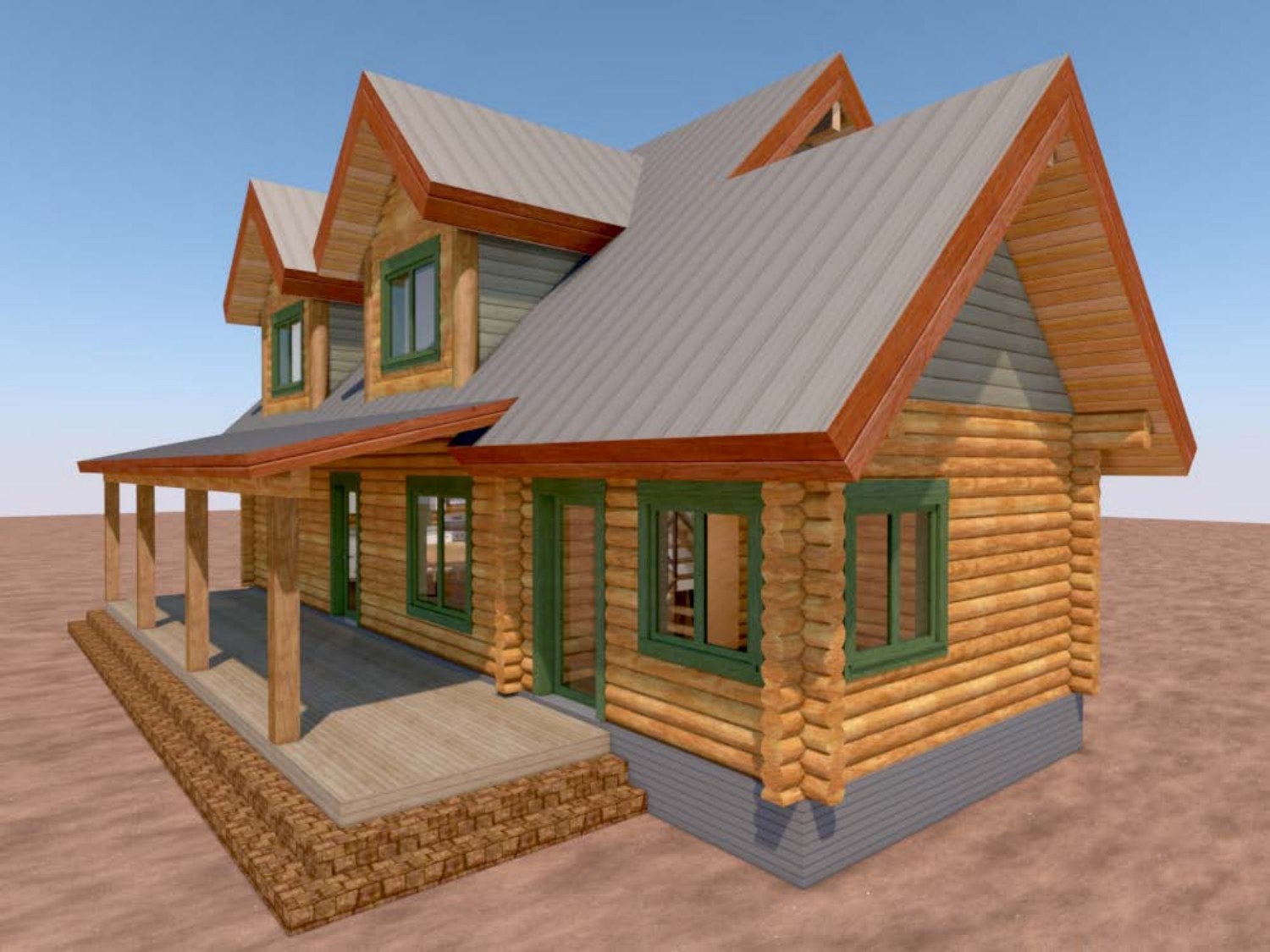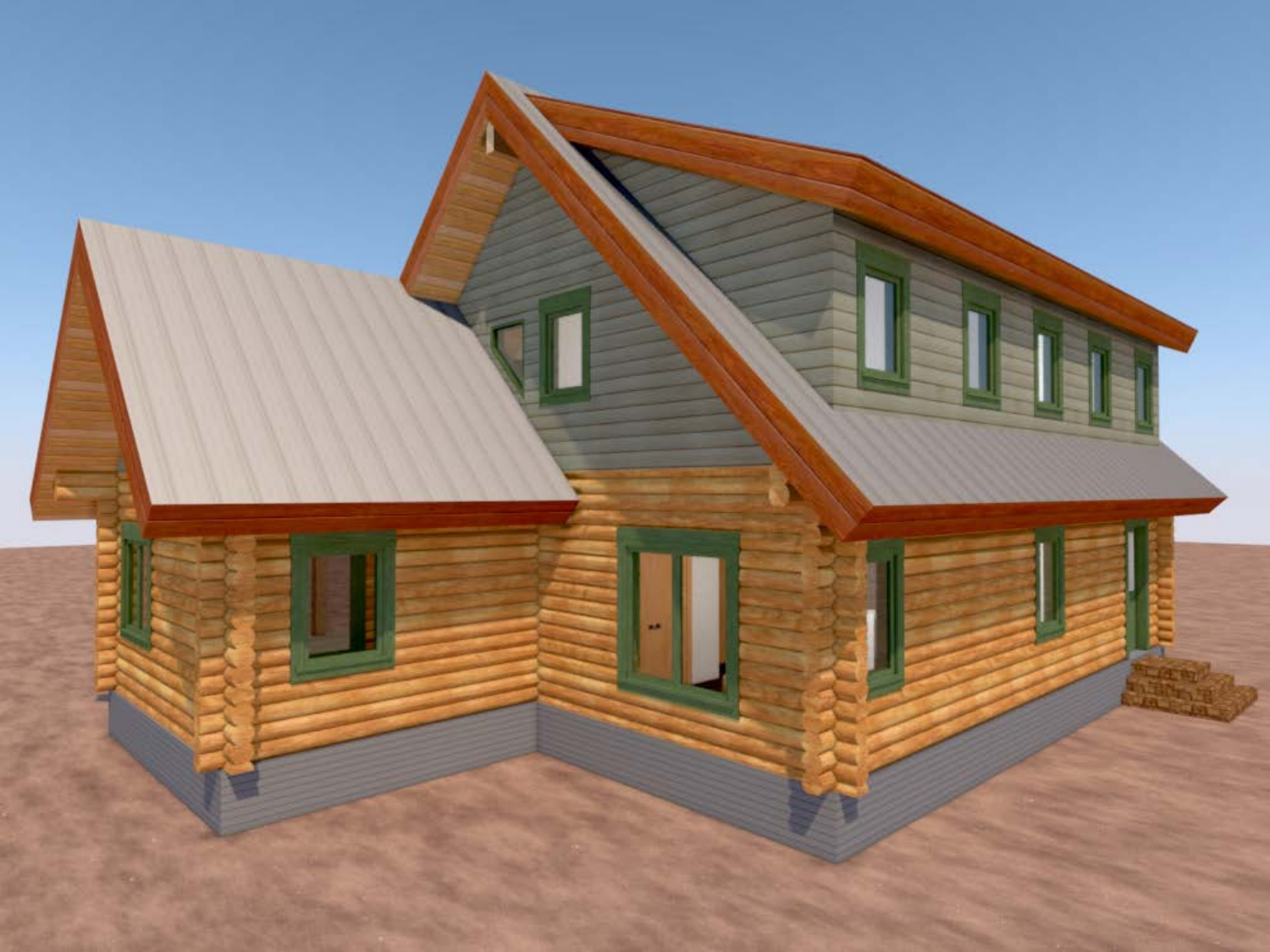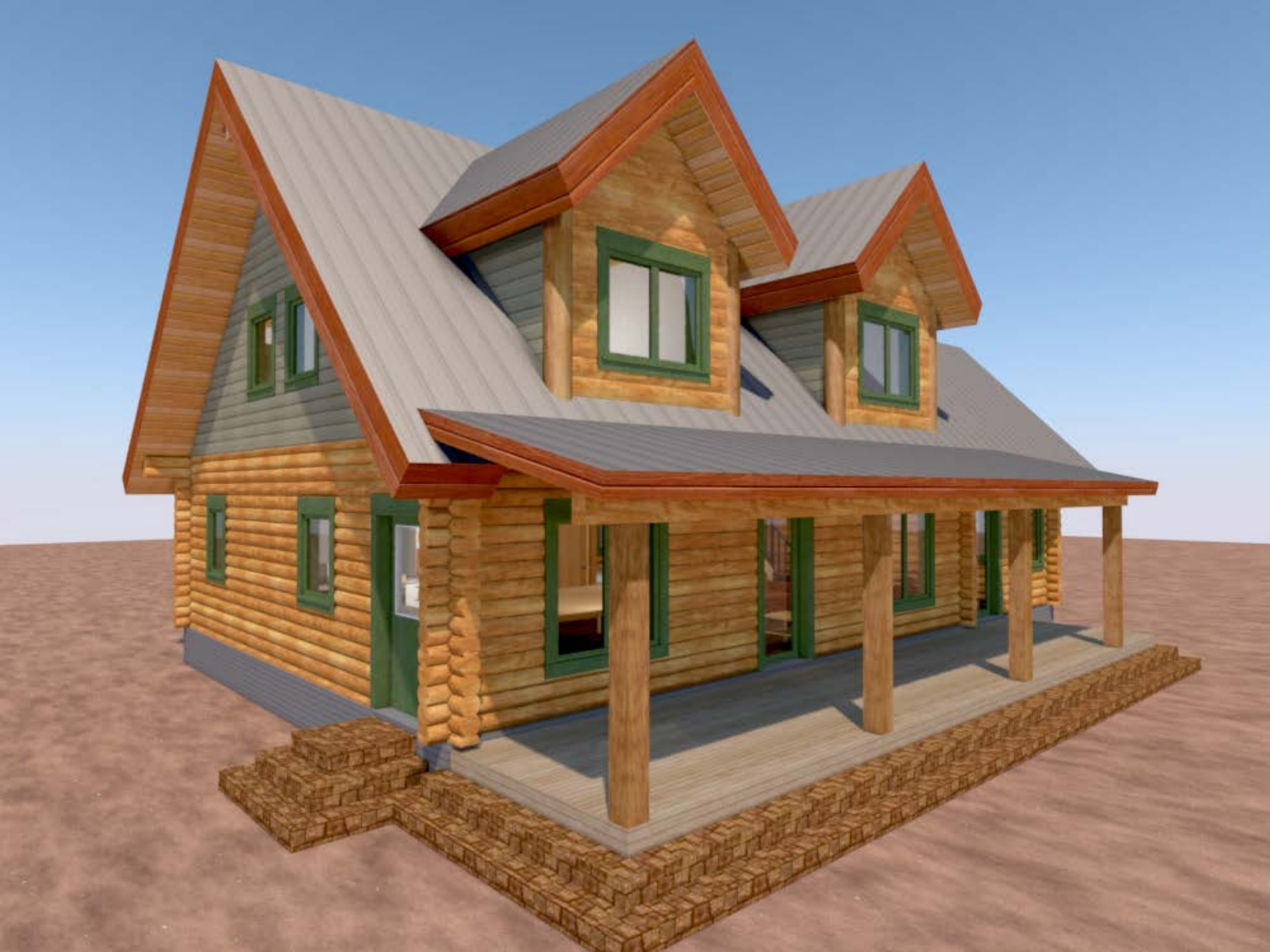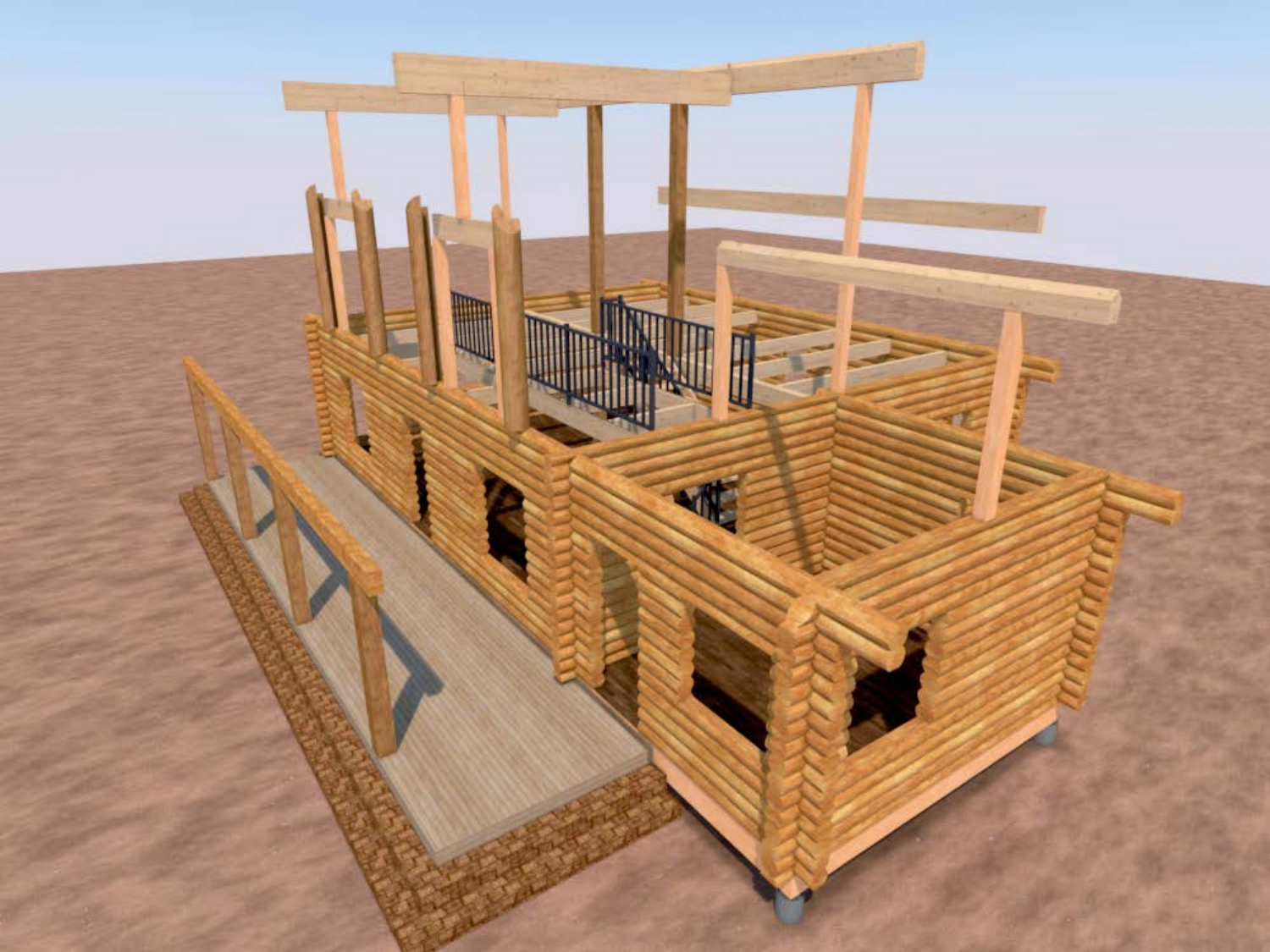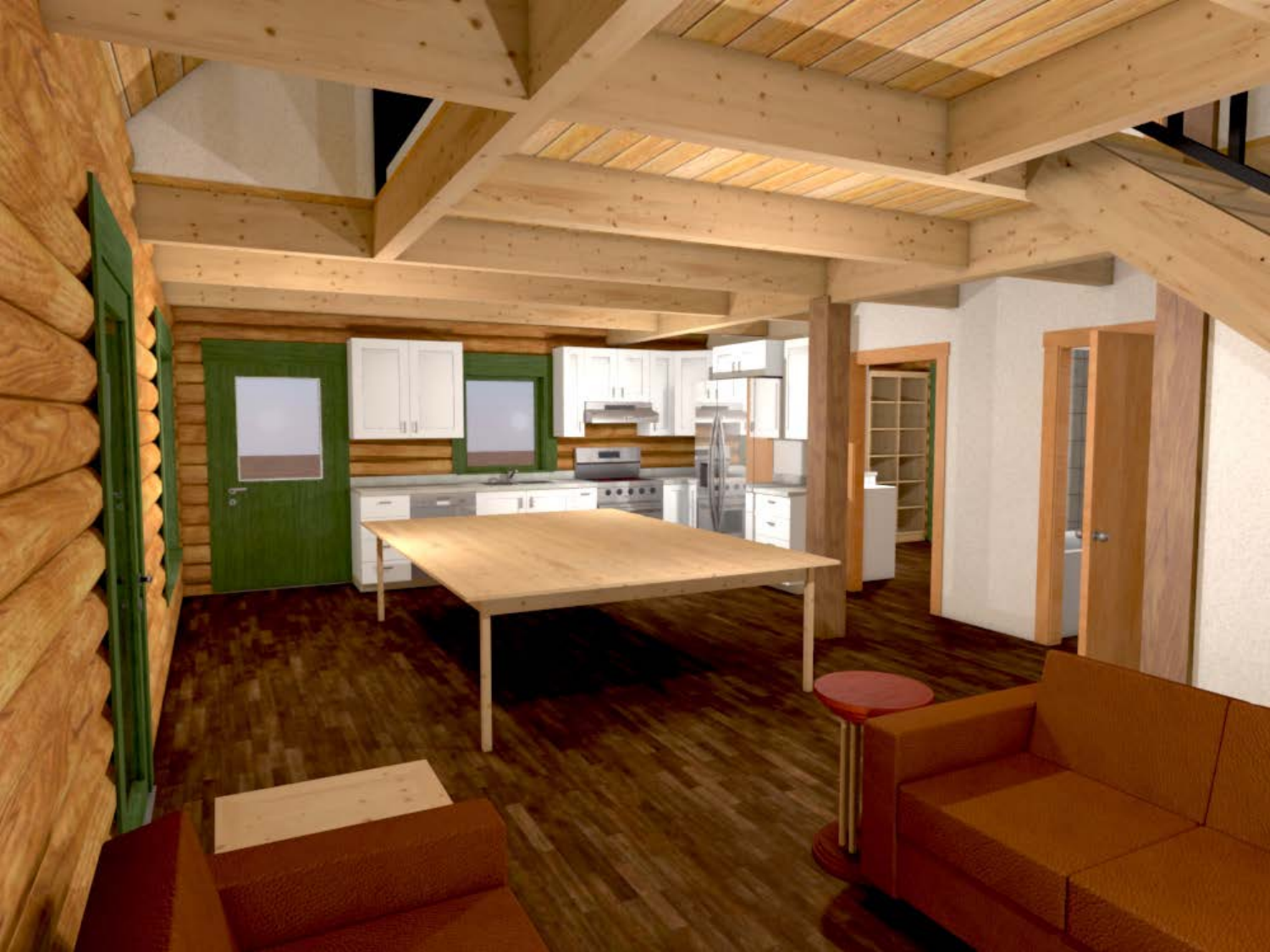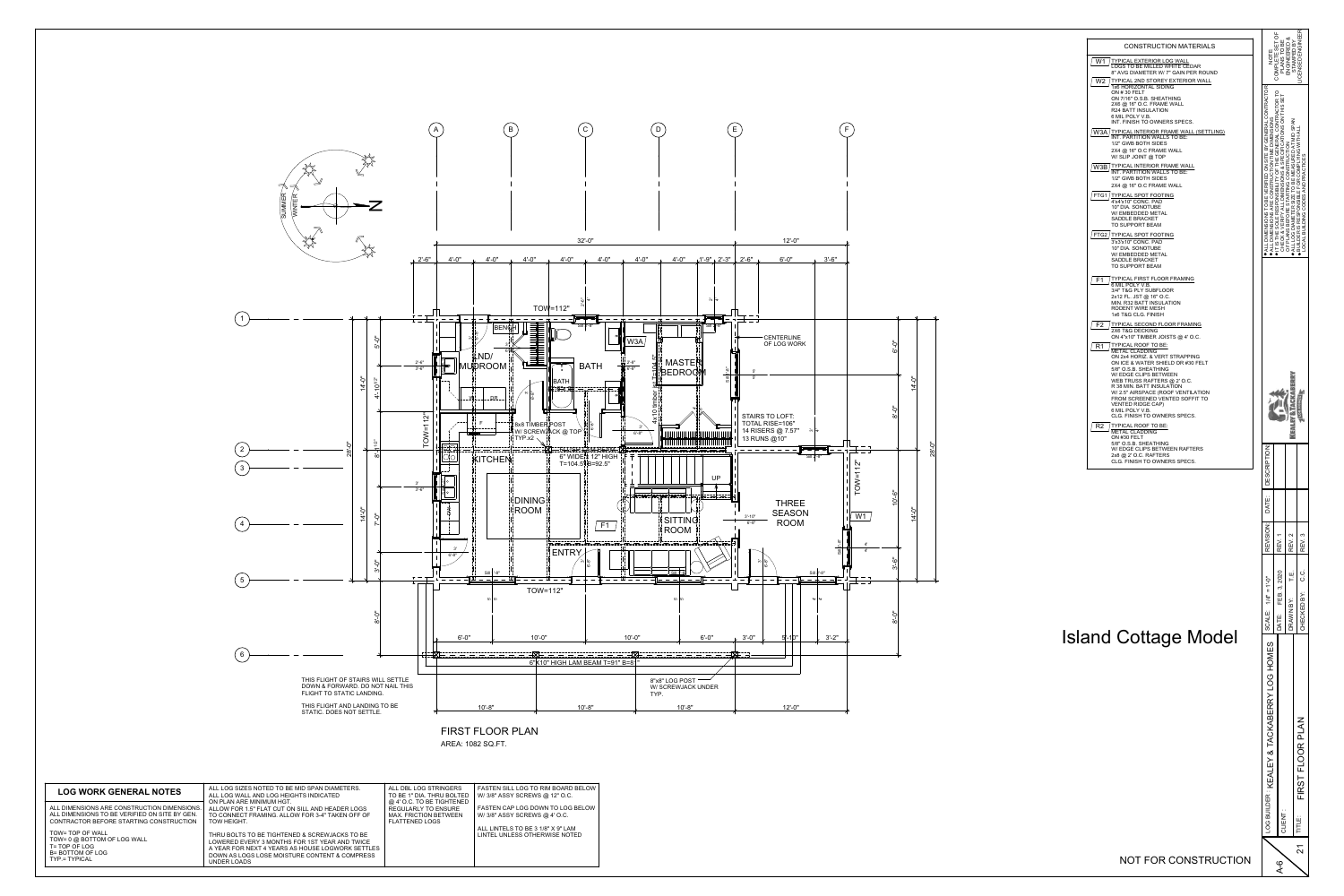| IT IS THE SOLE RESPONSIBILITY OF THE GENERAL CONTRACTOR TO<br>CHECK & VERIFY ALL DIMENSIONS & SPECIFICATIONS ON THIS SET<br>LOG DIAMETER SIZE TO BE MEASURED AT MID SPAN<br>DER IS RESPONSIBLE FOR COMPLYING WITH ALL<br><b>LANS BEFORE STARTING CONSTRUCTION</b><br>LOCAL BUILDING CODES AND PRACTICES<br>ロ<br>5<br>REV. 2<br>REV.3<br>IREV.<br>ن<br>ن<br>FEB. 3, 2020<br>ш<br>Н<br>CHECKED BY:<br>DRAWN BY:<br>DATE:<br>FIRST FLOOR PLAN<br>CLIENT<br>ij<br>E | RRY LOG HOMES<br>ILOG BUILDER: KEALEY & TACKABET | $1/4" = 1'-0"$ | REVISION: | DATE: | CRIPTIO<br>DES | DIMENSIONS TO BE VERIFIED ON SITE BY GENERAL CONTRACTOR<br>DIMENSIONS ARE CONSTRUCTION TIME DIMENSIONS<br><b>ALL</b> | iii<br>DOZ                      |
|-----------------------------------------------------------------------------------------------------------------------------------------------------------------------------------------------------------------------------------------------------------------------------------------------------------------------------------------------------------------------------------------------------------------------------------------------------------------|--------------------------------------------------|----------------|-----------|-------|----------------|----------------------------------------------------------------------------------------------------------------------|---------------------------------|
|                                                                                                                                                                                                                                                                                                                                                                                                                                                                 |                                                  |                |           |       |                |                                                                                                                      | COMPLETE SET OF<br>PLANS TO BE  |
|                                                                                                                                                                                                                                                                                                                                                                                                                                                                 |                                                  |                |           |       |                |                                                                                                                      | ENGINEERED &                    |
|                                                                                                                                                                                                                                                                                                                                                                                                                                                                 |                                                  |                |           |       |                |                                                                                                                      | LICENSED ENGINEER<br>STAMPED BY |

| <b>CONSTRUCTION MATERIALS</b>                                                                                                                                                                                                                                                                                                                                                                        |  |
|------------------------------------------------------------------------------------------------------------------------------------------------------------------------------------------------------------------------------------------------------------------------------------------------------------------------------------------------------------------------------------------------------|--|
| W <sub>1</sub><br>TYPICAL EXTERIOR LOG WALL<br>LOGS TO BE MILLED WHITE CEDAR<br>8" AVG DIAMETER W/ 7" GAIN PER ROUND                                                                                                                                                                                                                                                                                 |  |
| TYPICAL 2ND STOREY EXTERIOR WALL<br>W2<br><b>1x6 HORIZONTAL SIDING</b><br><b>ON #30 FELT</b><br>ON 7/16" O.S.B. SHEATHING<br>2X6 @ 16" O.C. FRAME WALL<br><b>R24 BATT INSULATION</b><br>6 MIL POLY V.B.<br>INT. FINISH TO OWNERS SPECS.                                                                                                                                                              |  |
| W3A TYPICAL INTERIOR FRAME WALL (SETTLING)<br>INT. PARTITION WALLS TO BE:<br>1/2" GWB BOTH SIDES<br>2X4 @ 16" O.C FRAME WALL<br>W/ SLIP JOINT @ TOP                                                                                                                                                                                                                                                  |  |
| W3B / TYPICAL INTERIOR FRAME WALL<br>INT. PARTITION WALLS TO BE:<br>1/2" GWB BOTH SIDES<br>2X4 @ 16" O.C FRAME WALL                                                                                                                                                                                                                                                                                  |  |
| FTG1<br><b>TYPICAL SPOT FOOTING</b><br>4'x4'x10" CONC. PAD<br>10" DIA. SONOTUBE<br>W/ EMBEDDED METAL<br><b>SADDLE BRACKET</b><br>TO SUPPORT BEAM                                                                                                                                                                                                                                                     |  |
| FTG2 / TYPICAL SPOT FOOTING<br>3'x3'x10" CONC. PAD<br>10" DIA. SONOTUBE<br>W/ EMBEDDED METAL<br>SADDLE BRACKET<br>TO SUPPORT BEAM                                                                                                                                                                                                                                                                    |  |
| TYPICAL FIRST FLOOR FRAMING<br>F1<br>6 MIL POLY V.B.<br>3/4" T&G PLY SUBFLOOR<br>2x12 FL. JST @ 16" O.C.<br>MIN. R32 BATT INSULATION<br>RODENT WIRE MESH<br>1x6 T&G CLG. FINISH                                                                                                                                                                                                                      |  |
| F <sub>2</sub><br><b>TYPICAL SECOND FLOOR FRAMING</b><br>2X6 T&G DECKING<br>ON 4"x10" TIMBER JOISTS @ 4' O.C.                                                                                                                                                                                                                                                                                        |  |
| <b>TYPICAL ROOF TO BE:</b><br>R1<br><b>METAL CLADDING</b><br>ON 2x4 HORIZ. & VERT STRAPPING<br>ON ICE & WATER SHIELD OR #30 FELT<br>5/8" O.S.B. SHEATHING<br>W/ EDGE CLIPS BETWEEN<br>WEB TRUSS RAFTERS @ 2' O.C.<br>R 38 MIN. BATT INSULATION<br>W/2.5" AIRSPACE (ROOF VENTILATION<br>FROM SCREENED VENTED SOFFIT TO<br><b>VENTED RIDGE CAP)</b><br>6 MIL POLY V.B.<br>CLG. FINISH TO OWNERS SPECS. |  |
| <b>TYPICAL ROOF TO BE:</b><br>R <sub>2</sub><br><b>METAL CLADDING</b><br>ON #30 FELT<br>5/8" O.S.B. SHEATHING<br>W/ EDGE CLIPS BETWEEN RAFTERS<br>2x8 @ 2' O.C. RAFTERS<br>CLG. FINISH TO OWNERS SPECS.                                                                                                                                                                                              |  |



AREA: 1082 SQ.FT.

ALL LINTELS TO BE 3 1/8" X 9" LAM LINTEL UNLESS OTHERWISE NOTED

FASTEN SILL LOG TO RIM BOARD BELOW W/ 3/8" ASSY SCREWS @ 12" O.C. FASTEN CAP LOG DOWN TO LOG BELOW W/ 3/8" ASSY SCREWS @ 4' O.C.

| <b>LOG WORK GENERAL NOTES</b>                                                                                                           | ALL LOG SIZES NOTED TO BE MID SPAN DIAMETERS.<br>ALL LOG WALL AND LOG HEIGHTS INDICATED                                                                                                                                   | ALL DBL LOG STRINGERS<br>TO BE 1" DIA, THRU BOLTED                                                               |
|-----------------------------------------------------------------------------------------------------------------------------------------|---------------------------------------------------------------------------------------------------------------------------------------------------------------------------------------------------------------------------|------------------------------------------------------------------------------------------------------------------|
| ALL DIMENSIONS ARE CONSTRUCTION DIMENSIONS.<br>ALL DIMENSIONS TO BE VERIFIED ON SITE BY GEN.<br>CONTRACTOR BEFORE STARTING CONSTRUCTION | ON PLAN ARE MINIMUM HGT.<br>ALLOW FOR 1.5" FLAT CUT ON SILL AND HEADER LOGS<br>TO CONNECT FRAMING. ALLOW FOR 3-4" TAKEN OFF OF<br><b>TOW HEIGHT.</b>                                                                      | @ 4' O.C. TO BE TIGHTENED<br><b>REGULARLY TO ENSURE</b><br><b>MAX. FRICTION BETWEEN</b><br><b>FLATTENED LOGS</b> |
| TOW= TOP OF WALL<br>TOW= 0 @ BOTTOM OF LOG WALL<br>T= TOP OF LOG<br>B= BOTTOM OF LOG<br><b>TYP = TYPICAL</b>                            | THRU BOLTS TO BE TIGHTENED & SCREWJACKS TO BE<br>LOWERED EVERY 3 MONTHS FOR 1ST YEAR AND TWICE<br>A YEAR FOR NEXT 4 YEARS AS HOUSE LOGWORK SETTLES<br>DOWN AS LOGS LOSE MOISTURE CONTENT & COMPRESS<br><b>UNDER LOADS</b> |                                                                                                                  |

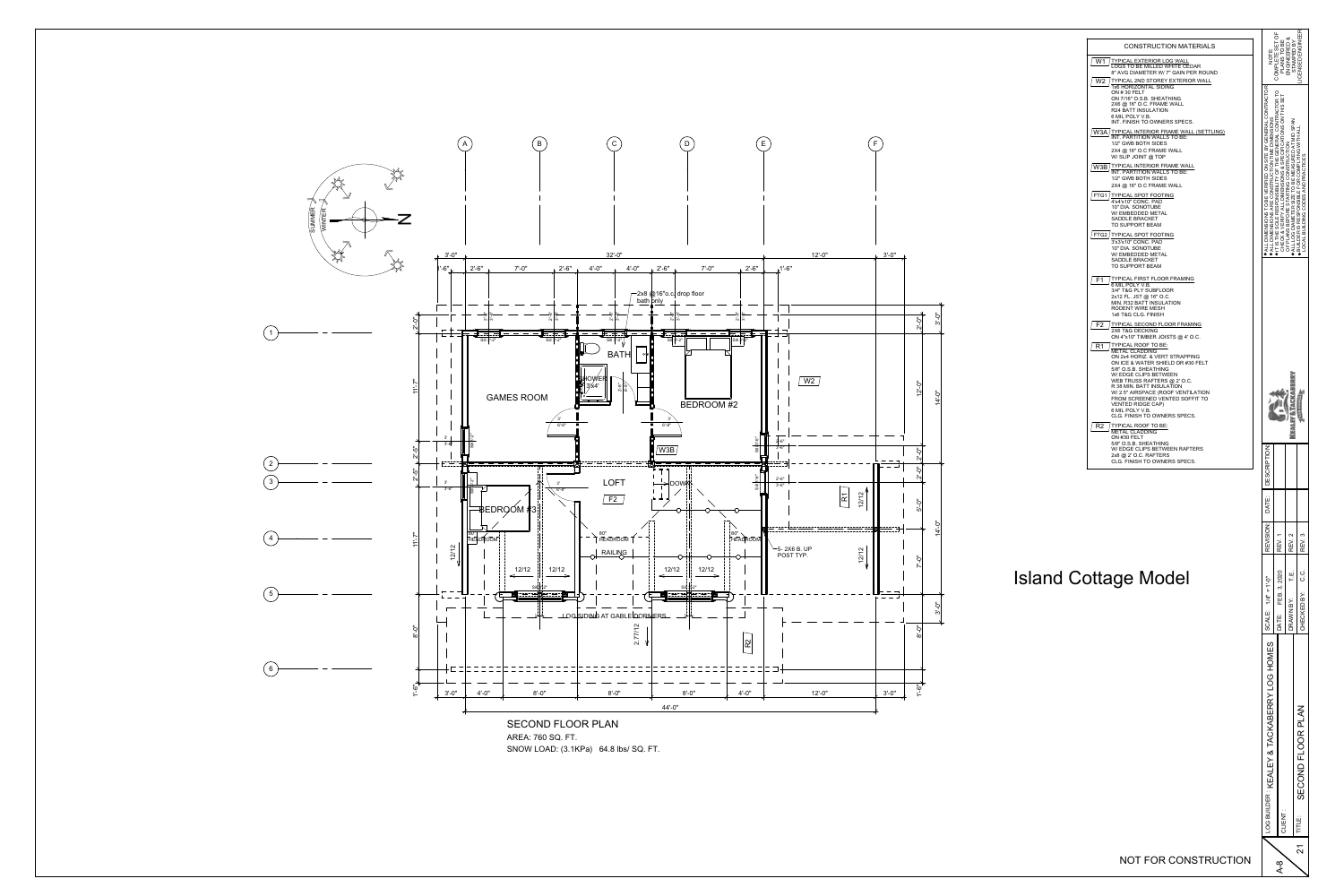PLANS TO BE

STAMPED BY



| <b>CONSTRUCTION MATERIALS</b>                                                                                                                                                                                                                                                                                                                                                                             |
|-----------------------------------------------------------------------------------------------------------------------------------------------------------------------------------------------------------------------------------------------------------------------------------------------------------------------------------------------------------------------------------------------------------|
| W1<br><b>TYPICAL EXTERIOR LOG WALL</b><br><b>LOGS TO BE MILLED WHITE CEDAR</b><br>8" AVG DIAMETER W/ 7" GAIN PER ROUND                                                                                                                                                                                                                                                                                    |
| W <sub>2</sub><br><b>TYPICAL 2ND STOREY EXTERIOR WALL</b><br>1x6 HORIZONTAL SIDING<br><b>ON #30 FELT</b><br>ON 7/16" O.S.B. SHEATHING<br>2X6 @ 16" O.C. FRAME WALL<br><b>R24 BATT INSULATION</b><br>6 MIL POLY V.B.<br>INT. FINISH TO OWNERS SPECS.                                                                                                                                                       |
| W3A TYPICAL INTERIOR FRAME WALL (SETTLING)<br>INT. PARTITION WALLS TO BE:<br>1/2" GWB BOTH SIDES<br>2X4 @ 16" O.C FRAME WALL<br>W/ SLIP JOINT @ TOP                                                                                                                                                                                                                                                       |
| W3B<br>TYPICAL INTERIOR FRAME WALL<br>INT. PARTITION WALLS TO BE:<br>1/2" GWB BOTH SIDES<br>2X4 @ 16" O.C FRAME WALL                                                                                                                                                                                                                                                                                      |
| FTG1<br><b>TYPICAL SPOT FOOTING</b><br>4'x4'x10" CONC. PAD<br>10" DIA. SONOTUBE<br>W/ EMBEDDED METAL<br><b>SADDLE BRACKET</b><br>TO SUPPORT BEAM                                                                                                                                                                                                                                                          |
| FTG2 / TYPICAL SPOT FOOTING<br>3'x3'x10" CONC. PAD<br>10" DIA, SONOTUBE<br>W/ EMBEDDED METAL<br><b>SADDLE BRACKET</b><br>TO SUPPORT BEAM                                                                                                                                                                                                                                                                  |
| TYPICAL FIRST FLOOR FRAMING<br>F <sub>1</sub><br>6 MIL POLY V.B.<br>3/4" T&G PLY SUBFLOOR<br>2x12 FL. JST @ 16" O.C.<br>MIN. R32 BATT INSULATION<br>RODENT WIRE MESH<br>1x6 T&G CLG. FINISH                                                                                                                                                                                                               |
| F2<br>TYPICAL SECOND FLOOR FRAMING<br>2X6 T&G DECKING<br>ON 4"x10" TIMBER JOISTS @ 4' O.C.                                                                                                                                                                                                                                                                                                                |
| R <sub>1</sub><br>TYPICAL ROOF TO BE:<br><b>METAL CLADDING</b><br>ON 2x4 HORIZ. & VERT STRAPPING<br>ON ICE & WATER SHIELD OR #30 FELT<br>5/8" O.S.B. SHEATHING<br>W/ EDGE CLIPS BETWEEN<br>WEB TRUSS RAFTERS @ 2' O.C.<br>R 38 MIN. BATT INSULATION<br>W/2.5" AIRSPACE (ROOF VENTILATION<br>FROM SCREENED VENTED SOFFIT TO<br><b>VENTED RIDGE CAP)</b><br>6 MIL POLY V.B.<br>CLG. FINISH TO OWNERS SPECS. |
| <b>TYPICAL ROOF TO BE:</b><br>R2<br><b>METAL CLADDING</b><br>ON #30 FELT<br>5/8" O.S.B. SHEATHING<br>W/ EDGE CLIPS BETWEEN RAFTERS<br>2x8 @ 2' O.C. RAFTERS<br>CLG. FINISH TO OWNERS SPECS.                                                                                                                                                                                                               |



| ۱                              |  |
|--------------------------------|--|
| ֚֘֝                            |  |
|                                |  |
| ֧֧֚֝֟֓֓֝֬<br>֧֪֚֝֩֝<br>֧֝<br>Ó |  |
|                                |  |

| I |
|---|

## Island Cottage Model